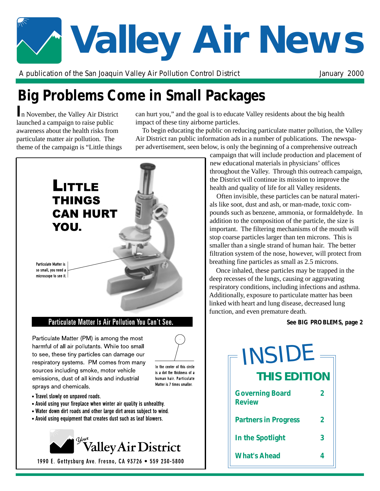# **Valley Air News**

A publication of the San Joaquin Valley Air Pollution Control District The Manuary 2000

# **Big Problems Come in Small Packages**

**I**n November, the Valley Air District launched a campaign to raise public awareness about the health risks from particulate matter air pollution. The theme of the campaign is "Little things

can hurt you," and the goal is to educate Valley residents about the big health impact of these tiny airborne particles.

To begin educating the public on reducing particulate matter pollution, the Valley Air District ran public information ads in a number of publications. The newspaper advertisement, seen below, is only the beginning of a comprehensive outreach



campaign that will include production and placement of new educational materials in physicians' offices throughout the Valley. Through this outreach campaign, the District will continue its mission to improve the health and quality of life for all Valley residents.

Often invisible, these particles can be natural materials like soot, dust and ash, or man-made, toxic compounds such as benzene, ammonia, or formaldehyde. In addition to the composition of the particle, the size is important. The filtering mechanisms of the mouth will stop coarse particles larger than ten microns. This is smaller than a single strand of human hair. The better filtration system of the nose, however, will protect from breathing fine particles as small as 2.5 microns.

Once inhaled, these particles may be trapped in the deep recesses of the lungs, causing or aggravating respiratory conditions, including infections and asthma. Additionally, exposure to particulate matter has been linked with heart and lung disease, decreased lung function, and even premature death.

# *See BIG PROBLEMS, page 2*

| <b>INSIDE</b>                           |                |  |
|-----------------------------------------|----------------|--|
| <b>THIS EDITION</b>                     |                |  |
| <b>Governing Board</b><br><b>Review</b> | 2              |  |
| <b>Partners in Progress</b>             | $\overline{2}$ |  |
| In the Spotlight                        | 3              |  |
| <b>What's Ahead</b>                     |                |  |

• Travel slowly on unpaved roads.

- Avoid using your fireplace when winter air quality is unhealthy.
- Water down dirt roads and other large dirt areas subject to wind.
- Avoid using equipment that creates dust such as leaf blowers.



1990 E. Gettysburg Ave. Fresno, CA 93726 . 559 230-5800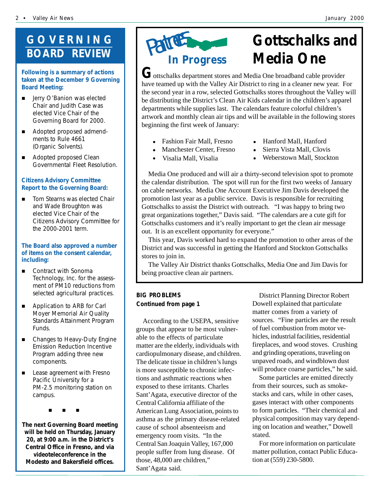# **GOVERNING BOARD REVIEW**

### **Following is a summary of actions taken at the December 9 Governing Board Meeting:**

- **E** Jerry O'Banion was elected Chair and Judith Case was elected Vice Chair of the Governing Board for 2000.
- **E** Adopted proposed admendments to Rule 4661 (Organic Solvents).
- Adopted proposed Clean Governmental Fleet Resolution.

# **Citizens Advisory Committee Report to the Governing Board:**

**E** Tom Stearns was elected Chair and Wade Broughton was elected Vice Chair of the Citizens Advisory Committee for the 2000-2001 term.

# **The Board also approved a number of items on the consent calendar, including:**

- **E** Contract with Sonoma Technology, Inc. for the assessment of PM10 reductions from selected agricultural practices.
- **E** Application to ARB for Carl Moyer Memorial Air Quality Standards Attainment Program Funds.
- Changes to Heavy-Duty Engine Emission Reduction Incentive Program adding three new components.
- **EXEC** Lease agreement with Fresno Pacific University for a PM-2.5 monitoring station on campus.

"\$""\$""\$

**The next Governing Board meeting will be held on Thursday, January 20, at 9:00 a.m. in the District's Central Office in Fresno, and via videoteleconference in the Modesto and Bakersfield offices.**



# **Gottschalks and**

 $G$ ottschalks department stores and Media One broadband cable provider have teamed up with the Valley Air District to ring in a cleaner new year. For the second year in a row, selected Gottschalks stores throughout the Valley will be distributing the District's Clean Air Kids calendar in the children's apparel departments while supplies last. The calendars feature colorful children's artwork and monthly clean air tips and will be available in the following stores beginning the first week of January:

# Fashion Fair Mall, Fresno # Hanford Mall, Hanford

Visalia Mall, Visalia

- # Manchester Center, Fresno # Sierra Vista Mall, Clovis
- - - Weberstown Mall, Stockton

Media One produced and will air a thirty-second television spot to promote the calendar distribution. The spot will run for the first two weeks of January on cable networks. Media One Account Executive Jim Davis developed the promotion last year as a public service. Davis is responsible for recruiting Gottschalks to assist the District with outreach. "I was happy to bring two great organizations together," Davis said. "The calendars are a cute gift for Gottschalks customers and it's really important to get the clean air message out. It is an excellent opportunity for everyone."

This year, Davis worked hard to expand the promotion to other areas of the District and was successful in getting the Hanford and Stockton Gottschalks stores to join in.

The Valley Air District thanks Gottschalks, Media One and Jim Davis for being proactive clean air partners.

# *BIG PROBLEMS Continued from page 1*

According to the USEPA, sensitive groups that appear to be most vulnerable to the effects of particulate matter are the elderly, individuals with cardiopulmonary disease, and children. The delicate tissue in children's lungs is more susceptible to chronic infections and asthmatic reactions when exposed to these irritants. Charles Sant'Agata, executive director of the Central California affiliate of the American Lung Association, points to asthma as the primary disease-related cause of school absenteeism and emergency room visits. "In the Central San Joaquin Valley, 167,000 people suffer from lung disease. Of those, 48,000 are children," Sant'Agata said.

District Planning Director Robert Dowell explained that particulate matter comes from a variety of sources. "Fine particles are the result of fuel combustion from motor vehicles, industrial facilities, residential fireplaces, and wood stoves. Crushing and grinding operations, traveling on unpaved roads, and windblown dust will produce coarse particles," he said.

Some particles are emitted directly from their sources, such as smokestacks and cars, while in other cases, gases interact with other components to form particles. "Their chemical and physical composition may vary depending on location and weather," Dowell stated.

For more information on particulate matter pollution, contact Public Education at (559) 230-5800.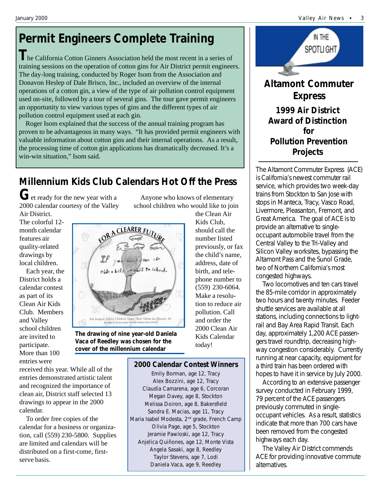# **Permit Engineers Complete Training**

**T**he California Cotton Ginners Association held the most recent in a series of training sessions on the operation of cotton gins for Air District permit engineers. The day-long training, conducted by Roger Isom from the Association and Donavon Heslep of Dale Brisco, Inc., included an overview of the internal operations of a cotton gin, a view of the type of air pollution control equipment used on-site, followed by a tour of several gins. The tour gave permit engineers an opportunity to view various types of gins and the different types of air pollution control equipment used at each gin.

Roger Isom explained that the success of the annual training program has proven to be advantageous in many ways. "It has provided permit engineers with valuable information about cotton gins and their internal operations. As a result, the processing time of cotton gin applications has dramatically decreased. It's a win-win situation," Isom said.

# **Millennium Kids Club Calendars Hot Off the Press**

**G**et ready for the new year with a 2000 calendar courtesy of the Valley

Air District. The colorful 12 month calendar features air quality-related drawings by local children.

Each year, the District holds a calendar contest as part of its Clean Air Kids Club. Members and Valley school children are invited to participate. More than 100 entries were



*The drawing of nine year-old Daniela Vaca of Reedley was chosen for the cover of the millennium calendar*

number listed previously, or fax the child's name, address, date of birth, and telephone number to (559) 230-6064. Make a resolution to reduce air pollution. Call and order the 2000 Clean Air Kids Calendar

the Clean Air Kids Club, should call the

# **2000 Calendar Contest Winners**

today!

Anyone who knows of elementary school children who would like to join

Emily Borman, age 12, Tracy Alex Bozzini, age 12, Tracy Claudia Camarena, age 6, Corcoran Megan Davey, age 8, Stockton Melissa Doiron, age 8, Bakersfield Sandra E. Macias, age 11, Tracy Maria Isabel Modesta, 2<sup>nd</sup> grade, French Camp Olivia Page, age 5, Stockton Jeramie Pawloski, age 12, Tracy Anjelica Quiñones, age 12, Monte Vista Angela Sasaki, age 8, Reedley Taylor Stevens, age 7, Lodi Daniela Vaca, age 9, Reedley



 **for Pollution Prevention Projects**

The Altamont Commuter Express (ACE) is California's newest commuter rail service, which provides two week-day trains from Stockton to San Jose with stops in Manteca, Tracy, Vasco Road, Livermore, Pleasanton, Fremont, and Great America. The goal of ACE is to provide an alternative to singleoccupant automobile travel from the Central Valley to the Tri-Valley and Silicon Valley worksites, bypassing the Altamont Pass and the Sunol Grade, two of Northern California's most congested highways.

Two locomotives and ten cars travel the 85-mile corridor in approximately two hours and twenty minutes. Feeder shuttle services are available at all stations, including connections to lightrail and Bay Area Rapid Transit. Each day, approximately 1,200 ACE passengers travel roundtrip, decreasing highway congestion considerably. Currently running at near capacity, equipment for a third train has been ordered with hopes to have it in service by July 2000.

According to an extensive passenger survey conducted in February 1999, 79 percent of the ACE passengers previously commuted in singleoccupant vehicles. As a result, statistics indicate that more than 700 cars have been removed from the congested highways each day.

The Valley Air District commends ACE for providing innovative commute alternatives.

received this year. While all of the entries demonstrated artistic talent and recognized the importance of clean air, District staff selected 13 drawings to appear in the 2000 calendar.

To order free copies of the calendar for a business or organization, call (559) 230-5800. Supplies are limited and calendars will be distributed on a first-come, firstserve basis.